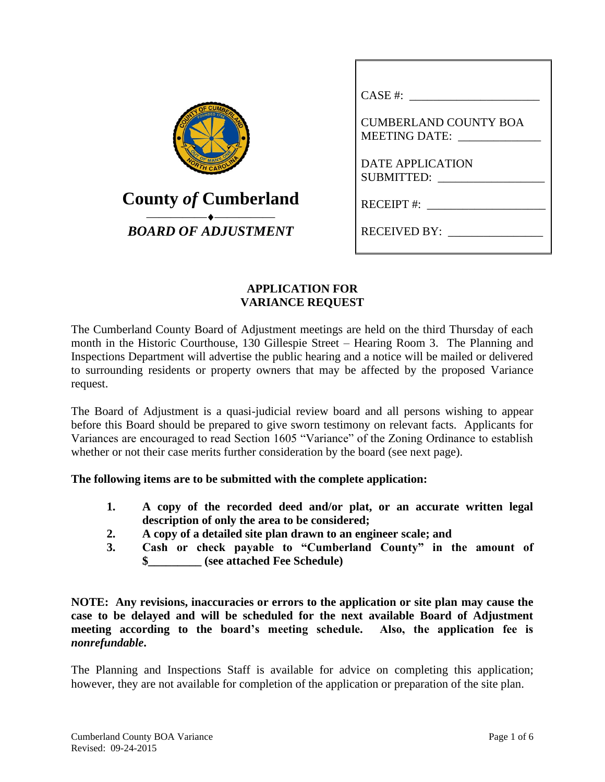| <b>UMBERLAN</b><br>OF MANY  |
|-----------------------------|
| <b>County of Cumberland</b> |
| <b>BOARD OF ADJUSTMENT</b>  |

| CASE #:                                       |
|-----------------------------------------------|
| <b>CUMBERLAND COUNTY BOA</b><br>MEETING DATE: |
| <b>DATE APPLICATION</b><br>SUBMITTED:         |
| $RECEIPT$ #:                                  |
| <b>RECEIVED BY:</b>                           |

# **APPLICATION FOR VARIANCE REQUEST**

The Cumberland County Board of Adjustment meetings are held on the third Thursday of each month in the Historic Courthouse, 130 Gillespie Street – Hearing Room 3. The Planning and Inspections Department will advertise the public hearing and a notice will be mailed or delivered to surrounding residents or property owners that may be affected by the proposed Variance request.

The Board of Adjustment is a quasi-judicial review board and all persons wishing to appear before this Board should be prepared to give sworn testimony on relevant facts. Applicants for Variances are encouraged to read Section 1605 "Variance" of the Zoning Ordinance to establish whether or not their case merits further consideration by the board (see next page).

# **The following items are to be submitted with the complete application:**

- **1. A copy of the recorded deed and/or plat, or an accurate written legal description of only the area to be considered;**
- **2. A copy of a detailed site plan drawn to an engineer scale; and**
- **3. Cash or check payable to "Cumberland County" in the amount of \$\_\_\_\_\_\_\_\_\_ (see attached Fee Schedule)**

**NOTE: Any revisions, inaccuracies or errors to the application or site plan may cause the case to be delayed and will be scheduled for the next available Board of Adjustment meeting according to the board's meeting schedule. Also, the application fee is**  *nonrefundable***.**

The Planning and Inspections Staff is available for advice on completing this application; however, they are not available for completion of the application or preparation of the site plan.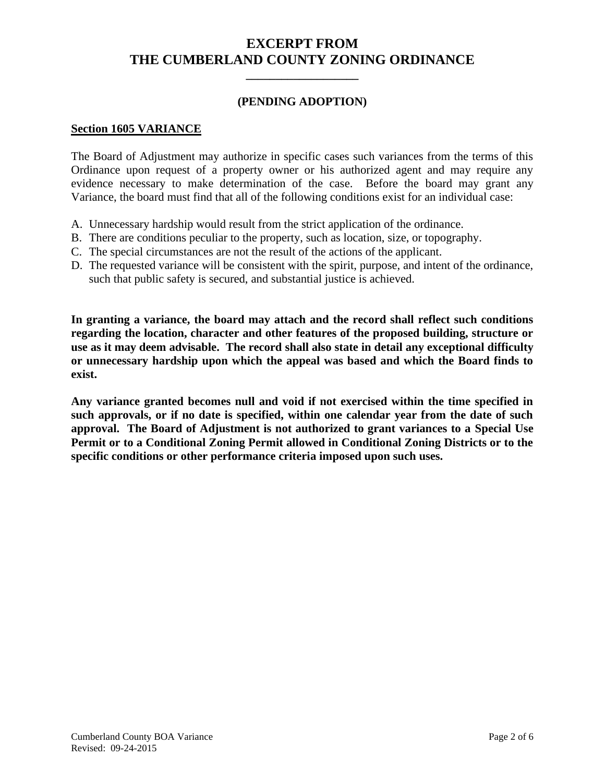# **EXCERPT FROM THE CUMBERLAND COUNTY ZONING ORDINANCE**

**\_\_\_\_\_\_\_\_\_\_\_\_\_\_\_\_\_\_\_**

## **(PENDING ADOPTION)**

#### **Section 1605 VARIANCE**

The Board of Adjustment may authorize in specific cases such variances from the terms of this Ordinance upon request of a property owner or his authorized agent and may require any evidence necessary to make determination of the case. Before the board may grant any Variance, the board must find that all of the following conditions exist for an individual case:

- A. Unnecessary hardship would result from the strict application of the ordinance.
- B. There are conditions peculiar to the property, such as location, size, or topography.
- C. The special circumstances are not the result of the actions of the applicant.
- D. The requested variance will be consistent with the spirit, purpose, and intent of the ordinance, such that public safety is secured, and substantial justice is achieved.

**In granting a variance, the board may attach and the record shall reflect such conditions regarding the location, character and other features of the proposed building, structure or use as it may deem advisable. The record shall also state in detail any exceptional difficulty or unnecessary hardship upon which the appeal was based and which the Board finds to exist.**

**Any variance granted becomes null and void if not exercised within the time specified in such approvals, or if no date is specified, within one calendar year from the date of such approval. The Board of Adjustment is not authorized to grant variances to a Special Use Permit or to a Conditional Zoning Permit allowed in Conditional Zoning Districts or to the specific conditions or other performance criteria imposed upon such uses.**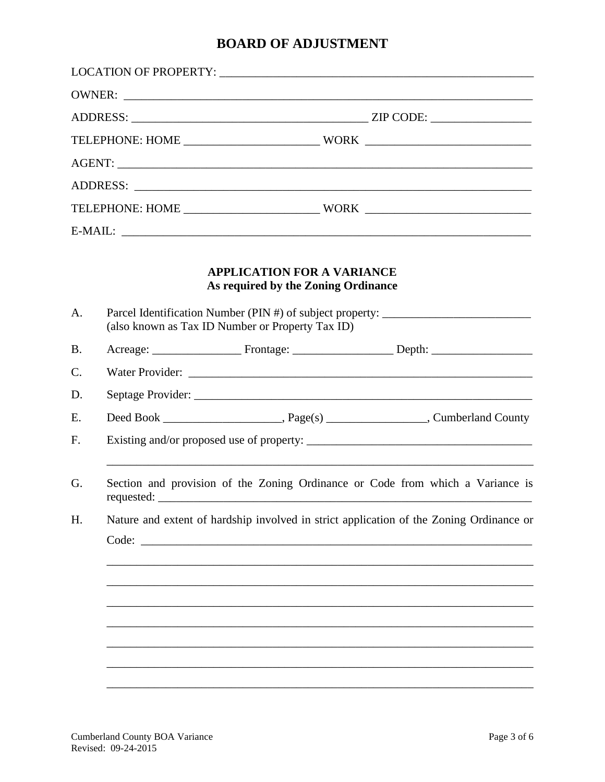# **BOARD OF ADJUSTMENT**

|                 |                                                                                                                                      | OWNER:                                                                                  |  |  |  |
|-----------------|--------------------------------------------------------------------------------------------------------------------------------------|-----------------------------------------------------------------------------------------|--|--|--|
|                 |                                                                                                                                      |                                                                                         |  |  |  |
|                 |                                                                                                                                      |                                                                                         |  |  |  |
|                 |                                                                                                                                      |                                                                                         |  |  |  |
|                 |                                                                                                                                      |                                                                                         |  |  |  |
|                 |                                                                                                                                      |                                                                                         |  |  |  |
|                 |                                                                                                                                      | E-MAIL:                                                                                 |  |  |  |
|                 |                                                                                                                                      | <b>APPLICATION FOR A VARIANCE</b><br>As required by the Zoning Ordinance                |  |  |  |
| A.              | Parcel Identification Number (PIN #) of subject property: ______________________<br>(also known as Tax ID Number or Property Tax ID) |                                                                                         |  |  |  |
| <b>B.</b>       |                                                                                                                                      |                                                                                         |  |  |  |
| $\mathcal{C}$ . |                                                                                                                                      |                                                                                         |  |  |  |
| D.              |                                                                                                                                      |                                                                                         |  |  |  |
| E.              |                                                                                                                                      |                                                                                         |  |  |  |
| F.              |                                                                                                                                      |                                                                                         |  |  |  |
| G.              | Section and provision of the Zoning Ordinance or Code from which a Variance is                                                       |                                                                                         |  |  |  |
| H.              |                                                                                                                                      | Nature and extent of hardship involved in strict application of the Zoning Ordinance or |  |  |  |
|                 |                                                                                                                                      |                                                                                         |  |  |  |
|                 |                                                                                                                                      |                                                                                         |  |  |  |
|                 |                                                                                                                                      |                                                                                         |  |  |  |
|                 |                                                                                                                                      |                                                                                         |  |  |  |
|                 |                                                                                                                                      |                                                                                         |  |  |  |
|                 |                                                                                                                                      |                                                                                         |  |  |  |
|                 |                                                                                                                                      |                                                                                         |  |  |  |
|                 |                                                                                                                                      |                                                                                         |  |  |  |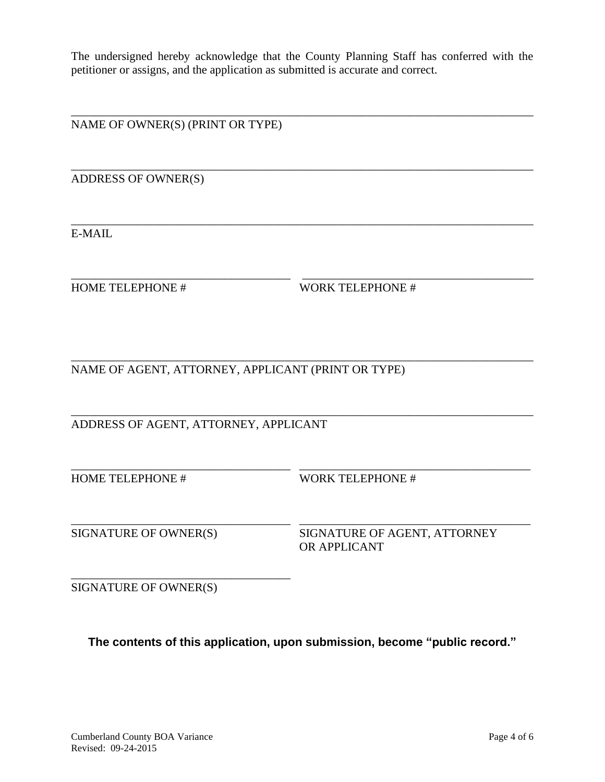The undersigned hereby acknowledge that the County Planning Staff has conferred with the petitioner or assigns, and the application as submitted is accurate and correct.

\_\_\_\_\_\_\_\_\_\_\_\_\_\_\_\_\_\_\_\_\_\_\_\_\_\_\_\_\_\_\_\_\_\_\_\_\_\_\_\_\_\_\_\_\_\_\_\_\_\_\_\_\_\_\_\_\_\_\_\_\_\_\_\_\_\_\_\_\_\_\_\_\_\_\_\_\_\_

\_\_\_\_\_\_\_\_\_\_\_\_\_\_\_\_\_\_\_\_\_\_\_\_\_\_\_\_\_\_\_\_\_\_\_\_\_\_\_\_\_\_\_\_\_\_\_\_\_\_\_\_\_\_\_\_\_\_\_\_\_\_\_\_\_\_\_\_\_\_\_\_\_\_\_\_\_\_

\_\_\_\_\_\_\_\_\_\_\_\_\_\_\_\_\_\_\_\_\_\_\_\_\_\_\_\_\_\_\_\_\_\_\_\_\_\_\_\_\_\_\_\_\_\_\_\_\_\_\_\_\_\_\_\_\_\_\_\_\_\_\_\_\_\_\_\_\_\_\_\_\_\_\_\_\_\_

\_\_\_\_\_\_\_\_\_\_\_\_\_\_\_\_\_\_\_\_\_\_\_\_\_\_\_\_\_\_\_\_\_\_\_\_\_ \_\_\_\_\_\_\_\_\_\_\_\_\_\_\_\_\_\_\_\_\_\_\_\_\_\_\_\_\_\_\_\_\_\_\_\_\_\_\_

\_\_\_\_\_\_\_\_\_\_\_\_\_\_\_\_\_\_\_\_\_\_\_\_\_\_\_\_\_\_\_\_\_\_\_\_\_\_\_\_\_\_\_\_\_\_\_\_\_\_\_\_\_\_\_\_\_\_\_\_\_\_\_\_\_\_\_\_\_\_\_\_\_\_\_\_\_\_

\_\_\_\_\_\_\_\_\_\_\_\_\_\_\_\_\_\_\_\_\_\_\_\_\_\_\_\_\_\_\_\_\_\_\_\_\_\_\_\_\_\_\_\_\_\_\_\_\_\_\_\_\_\_\_\_\_\_\_\_\_\_\_\_\_\_\_\_\_\_\_\_\_\_\_\_\_\_

\_\_\_\_\_\_\_\_\_\_\_\_\_\_\_\_\_\_\_\_\_\_\_\_\_\_\_\_\_\_\_\_\_\_\_\_\_ \_\_\_\_\_\_\_\_\_\_\_\_\_\_\_\_\_\_\_\_\_\_\_\_\_\_\_\_\_\_\_\_\_\_\_\_\_\_\_

\_\_\_\_\_\_\_\_\_\_\_\_\_\_\_\_\_\_\_\_\_\_\_\_\_\_\_\_\_\_\_\_\_\_\_\_\_ \_\_\_\_\_\_\_\_\_\_\_\_\_\_\_\_\_\_\_\_\_\_\_\_\_\_\_\_\_\_\_\_\_\_\_\_\_\_\_

NAME OF OWNER(S) (PRINT OR TYPE)

ADDRESS OF OWNER(S)

E-MAIL

HOME TELEPHONE # WORK TELEPHONE #

NAME OF AGENT, ATTORNEY, APPLICANT (PRINT OR TYPE)

ADDRESS OF AGENT, ATTORNEY, APPLICANT

HOME TELEPHONE # WORK TELEPHONE #

SIGNATURE OF OWNER(S) SIGNATURE OF AGENT, ATTORNEY OR APPLICANT

SIGNATURE OF OWNER(S)

\_\_\_\_\_\_\_\_\_\_\_\_\_\_\_\_\_\_\_\_\_\_\_\_\_\_\_\_\_\_\_\_\_\_\_\_\_

**The contents of this application, upon submission, become "public record."**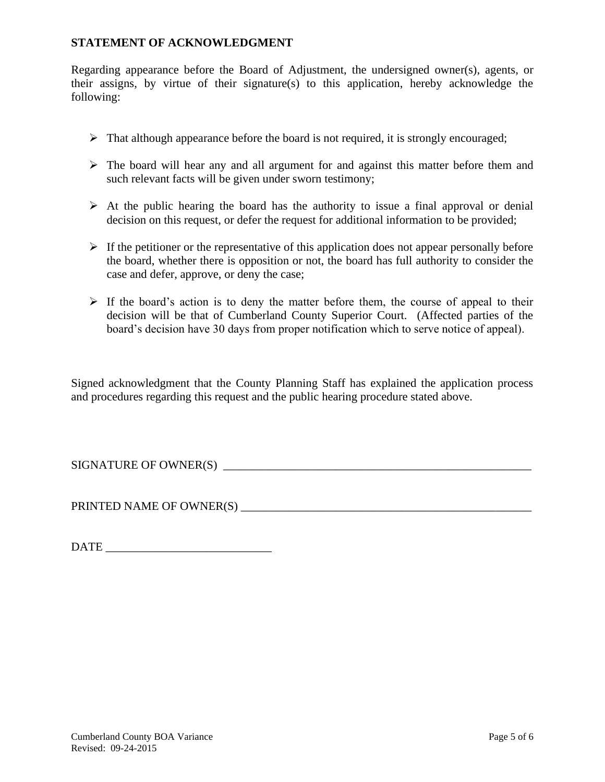## **STATEMENT OF ACKNOWLEDGMENT**

Regarding appearance before the Board of Adjustment, the undersigned owner(s), agents, or their assigns, by virtue of their signature(s) to this application, hereby acknowledge the following:

- $\triangleright$  That although appearance before the board is not required, it is strongly encouraged;
- $\triangleright$  The board will hear any and all argument for and against this matter before them and such relevant facts will be given under sworn testimony;
- $\triangleright$  At the public hearing the board has the authority to issue a final approval or denial decision on this request, or defer the request for additional information to be provided;
- $\triangleright$  If the petitioner or the representative of this application does not appear personally before the board, whether there is opposition or not, the board has full authority to consider the case and defer, approve, or deny the case;
- $\triangleright$  If the board's action is to deny the matter before them, the course of appeal to their decision will be that of Cumberland County Superior Court. (Affected parties of the board's decision have 30 days from proper notification which to serve notice of appeal).

Signed acknowledgment that the County Planning Staff has explained the application process and procedures regarding this request and the public hearing procedure stated above.

SIGNATURE OF OWNER(S) \_\_\_\_\_\_\_\_\_\_\_\_\_\_\_\_\_\_\_\_\_\_\_\_\_\_\_\_\_\_\_\_\_\_\_\_\_\_\_\_\_\_\_\_\_\_\_\_\_\_\_\_

PRINTED NAME OF OWNER(S) \_\_\_\_\_\_\_\_\_\_\_\_\_\_\_\_\_\_\_\_\_\_\_\_\_\_\_\_\_\_\_\_\_\_\_\_\_\_\_\_\_\_\_\_\_\_\_\_\_